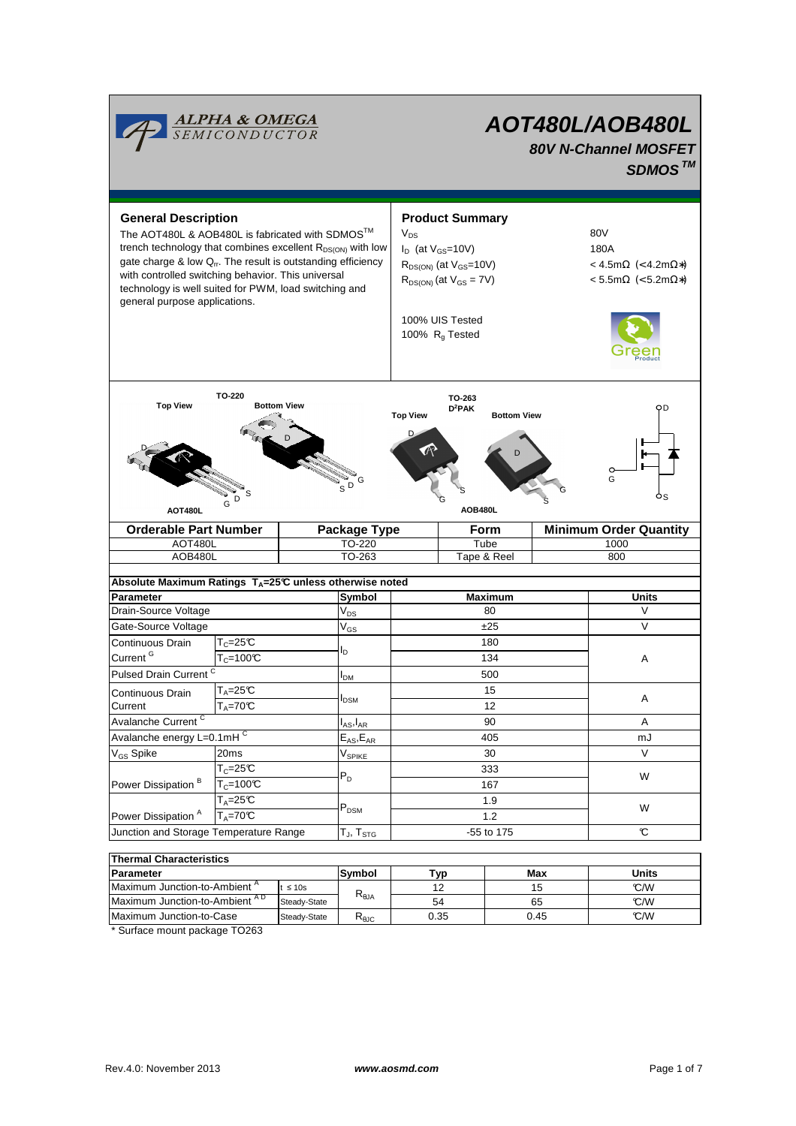

| i i nermai Unaracteristics               |              |                 |      |      |       |  |  |  |  |
|------------------------------------------|--------------|-----------------|------|------|-------|--|--|--|--|
| Parameter                                |              | <b>Symbol</b>   | Typ  | Max  | Units |  |  |  |  |
| Maximum Junction-to-Ambient <sup>"</sup> | $\leq 10s$   | $R_{\theta JA}$ |      | 15   | °C/W  |  |  |  |  |
| Maximum Junction-to-Ambient AD           | Steady-State |                 | 54   | 65   | °C/W  |  |  |  |  |
| Maximum Junction-to-Case                 | Steady-State | $R_{AIC}$       | 0.35 | 0.45 | °C/W  |  |  |  |  |
|                                          |              |                 |      |      |       |  |  |  |  |

\* Surface mount package TO263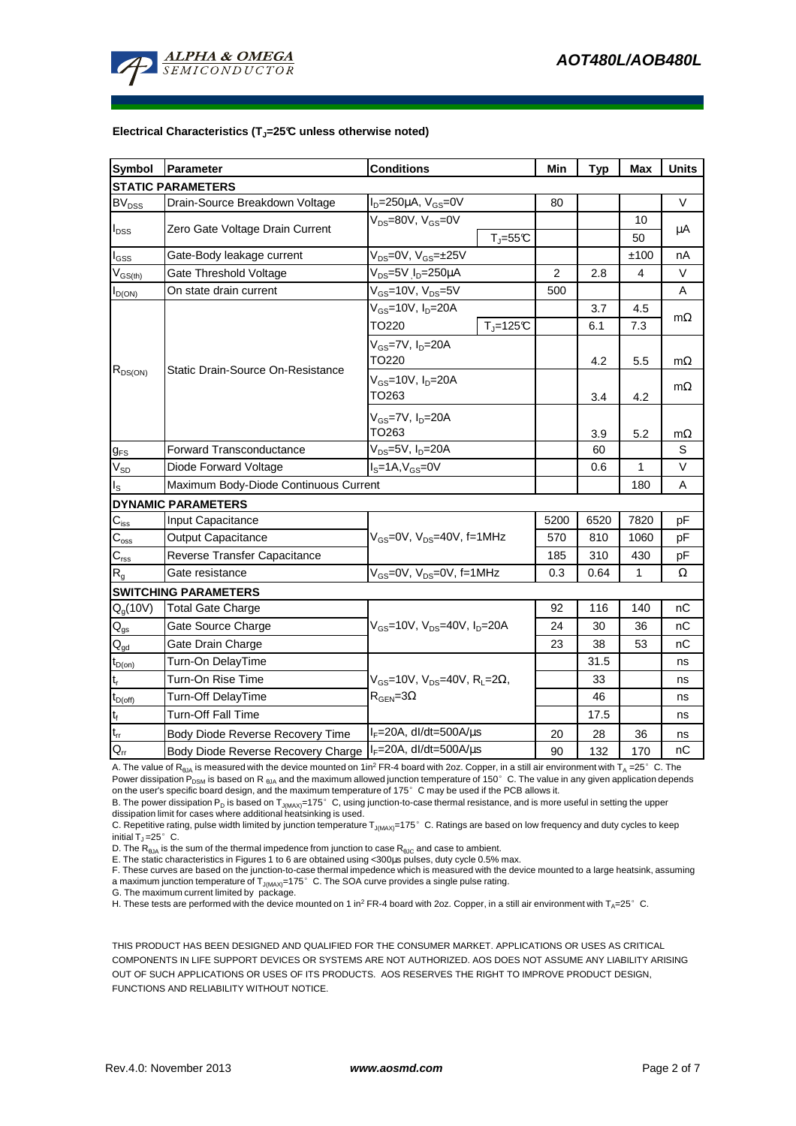

#### **Electrical Characteristics (TJ=25°C unless otherwise noted)**

| <b>Symbol</b>                                        | Parameter                                                           | <b>Conditions</b>                                          | Min            | <b>Typ</b> | <b>Max</b>   | <b>Units</b> |  |  |  |  |  |
|------------------------------------------------------|---------------------------------------------------------------------|------------------------------------------------------------|----------------|------------|--------------|--------------|--|--|--|--|--|
| <b>STATIC PARAMETERS</b>                             |                                                                     |                                                            |                |            |              |              |  |  |  |  |  |
| <b>BV<sub>DSS</sub></b>                              | $I_D = 250 \mu A$ , $V_{GS} = 0V$<br>Drain-Source Breakdown Voltage |                                                            | 80             |            |              | V            |  |  |  |  |  |
|                                                      |                                                                     | $V_{DS}$ =80V, $V_{GS}$ =0V                                |                |            | 10           |              |  |  |  |  |  |
| $I_{DSS}$                                            | Zero Gate Voltage Drain Current                                     | $T_J = 55C$                                                |                |            | 50           | μA           |  |  |  |  |  |
| $I_{GSS}$                                            | Gate-Body leakage current                                           | $V_{DS} = 0V$ , $V_{GS} = \pm 25V$                         |                |            | ±100         | nA           |  |  |  |  |  |
| $V_{GS(th)}$                                         | Gate Threshold Voltage                                              | V <sub>DS</sub> =5V I <sub>D</sub> =250µA                  | $\overline{2}$ | 2.8        | 4            | V            |  |  |  |  |  |
| $I_{D(ON)}$                                          | $V_{GS}$ =10V, $V_{DS}$ =5V<br>On state drain current               |                                                            | 500            |            |              | Α            |  |  |  |  |  |
| $R_{DS(ON)}$                                         | Static Drain-Source On-Resistance                                   | $V_{GS}$ =10V, $I_D$ =20A                                  |                | 3.7        | 4.5          |              |  |  |  |  |  |
|                                                      |                                                                     | $T_i = 125C$<br>TO220                                      |                | 6.1        | 7.3          | $m\Omega$    |  |  |  |  |  |
|                                                      |                                                                     | $V_{GS}$ =7V, $I_{D}$ =20A                                 |                |            |              |              |  |  |  |  |  |
|                                                      |                                                                     | TO220                                                      |                | 4.2        | 5.5          | $m\Omega$    |  |  |  |  |  |
|                                                      |                                                                     | $V_{GS}$ =10V, $I_{D}$ =20A                                |                |            |              | $m\Omega$    |  |  |  |  |  |
|                                                      |                                                                     | TO263                                                      |                | 3.4        | 4.2          |              |  |  |  |  |  |
|                                                      |                                                                     | $V_{GS}$ =7V, $I_{D}$ =20A                                 |                |            |              |              |  |  |  |  |  |
|                                                      |                                                                     | TO263                                                      |                | 3.9        | 5.2          | $m\Omega$    |  |  |  |  |  |
| $g_{FS}$                                             | $V_{DS} = 5V$ , $I_D = 20A$<br><b>Forward Transconductance</b>      |                                                            |                | 60         |              | S            |  |  |  |  |  |
| $V_{SD}$                                             | $IS=1A, VGS=0V$<br>Diode Forward Voltage                            |                                                            |                | 0.6        | $\mathbf{1}$ | $\vee$       |  |  |  |  |  |
| $I_{\rm S}$<br>Maximum Body-Diode Continuous Current |                                                                     |                                                            |                |            | 180          | A            |  |  |  |  |  |
|                                                      | <b>DYNAMIC PARAMETERS</b>                                           |                                                            |                |            |              |              |  |  |  |  |  |
| $\mathbf{C}_{\text{iss}}$                            | Input Capacitance                                                   |                                                            | 5200           | 6520       | 7820         | pF           |  |  |  |  |  |
| $\mathbf{C}_{\text{oss}}$                            | Output Capacitance                                                  | $V_{GS}$ =0V, $V_{DS}$ =40V, f=1MHz                        |                | 810        | 1060         | pF           |  |  |  |  |  |
| $C_{\text{rss}}$                                     | Reverse Transfer Capacitance                                        |                                                            | 185            | 310        | 430          | pF           |  |  |  |  |  |
| $R_{q}$                                              | $V_{GS}$ =0V, $V_{DS}$ =0V, f=1MHz<br>Gate resistance               |                                                            | 0.3            | 0.64       | 1            | Ω            |  |  |  |  |  |
|                                                      | <b>SWITCHING PARAMETERS</b>                                         |                                                            |                |            |              |              |  |  |  |  |  |
| $Q_q(10V)$                                           | <b>Total Gate Charge</b>                                            |                                                            | 92             | 116        | 140          | пC           |  |  |  |  |  |
| $Q_{gs}$                                             | Gate Source Charge                                                  | $V_{GS}$ =10V, $V_{DS}$ =40V, $I_{D}$ =20A                 | 24             | 30         | 36           | пC           |  |  |  |  |  |
| $Q_{gd}$                                             | Gate Drain Charge                                                   |                                                            | 23             | 38         | 53           | nC           |  |  |  |  |  |
| $t_{D(on)}$                                          | Turn-On DelayTime                                                   |                                                            |                | 31.5       |              | ns           |  |  |  |  |  |
| $\mathsf{t}_\mathsf{r}$                              | Turn-On Rise Time                                                   | $V_{GS}$ =10V, $V_{DS}$ =40V, R <sub>L</sub> =2 $\Omega$ , |                | 33         |              | ns           |  |  |  |  |  |
| $t_{D(off)}$                                         | Turn-Off DelayTime                                                  | $R_{\text{GEN}} = 3\Omega$                                 |                | 46         |              | ns           |  |  |  |  |  |
| $\mathbf{t}_\text{f}$                                | <b>Turn-Off Fall Time</b>                                           |                                                            |                | 17.5       |              | ns           |  |  |  |  |  |
| $t_{rr}$                                             | Body Diode Reverse Recovery Time                                    | $I_F = 20A$ , dl/dt=500A/ $\mu$ s                          | 20             | 28         | 36           | ns           |  |  |  |  |  |
| Q <sub>rr</sub>                                      | Body Diode Reverse Recovery Charge   IF=20A, dl/dt=500A/us          |                                                            | 90             | 132        | 170          | nC           |  |  |  |  |  |

A. The value of R<sub>9JA</sub> is measured with the device mounted on 1in<sup>2</sup> FR-4 board with 2oz. Copper, in a still air environment with T<sub>A</sub> =25° C. The Power dissipation P<sub>DSM</sub> is based on R <sub>θJA</sub> and the maximum allowed junction temperature of 150°C. The value in any given application depends on the user's specific board design, and the maximum temperature of 175°C may be used if the PCB allows it.

B. The power dissipation P<sub>D</sub> is based on T<sub>J(MAX)</sub>=175°C, using junction-to-case thermal resistance, and is more useful in setting the upper dissipation limit for cases where additional heatsinking is used.

C. Repetitive rating, pulse width limited by junction temperature  $T_{J(MAX)}$ =175°C. Ratings are based on low frequency and duty cycles to keep initial  $T_J = 25^\circ$  C.

D. The R<sub>θJA</sub> is the sum of the thermal impedence from junction to case R<sub>θJC</sub> and case to ambient.<br>E. The static characteristics in Figures 1 to 6 are obtained using <300μs pulses, duty cycle 0.5% max.

F. These curves are based on the junction-to-case thermal impedence which is measured with the device mounted to a large heatsink, assuming a maximum junction temperature of  $T_{J(MAX)}$ =175° C. The SOA curve provides a single pulse rating.

G. The maximum current limited by package.

H. These tests are performed with the device mounted on 1 in<sup>2</sup> FR-4 board with 2oz. Copper, in a still air environment with T<sub>A</sub>=25°C.

THIS PRODUCT HAS BEEN DESIGNED AND QUALIFIED FOR THE CONSUMER MARKET. APPLICATIONS OR USES AS CRITICAL COMPONENTS IN LIFE SUPPORT DEVICES OR SYSTEMS ARE NOT AUTHORIZED. AOS DOES NOT ASSUME ANY LIABILITY ARISING OUT OF SUCH APPLICATIONS OR USES OF ITS PRODUCTS. AOS RESERVES THE RIGHT TO IMPROVE PRODUCT DESIGN, FUNCTIONS AND RELIABILITY WITHOUT NOTICE.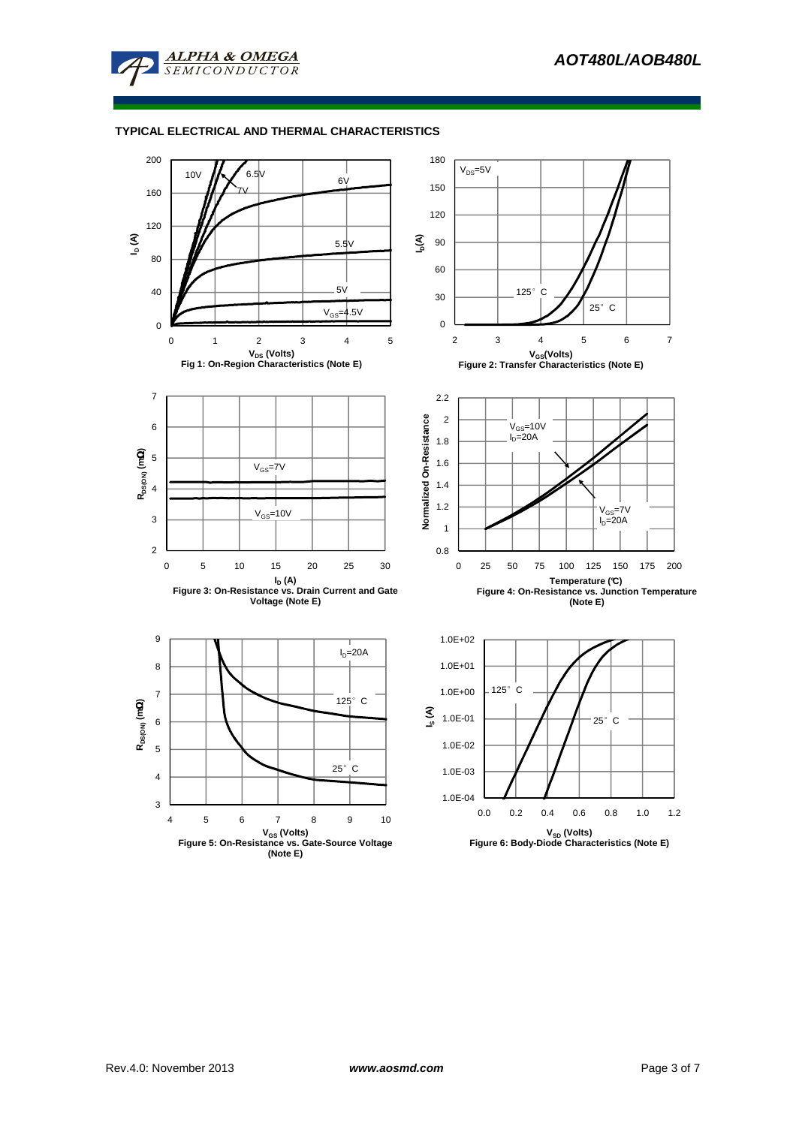





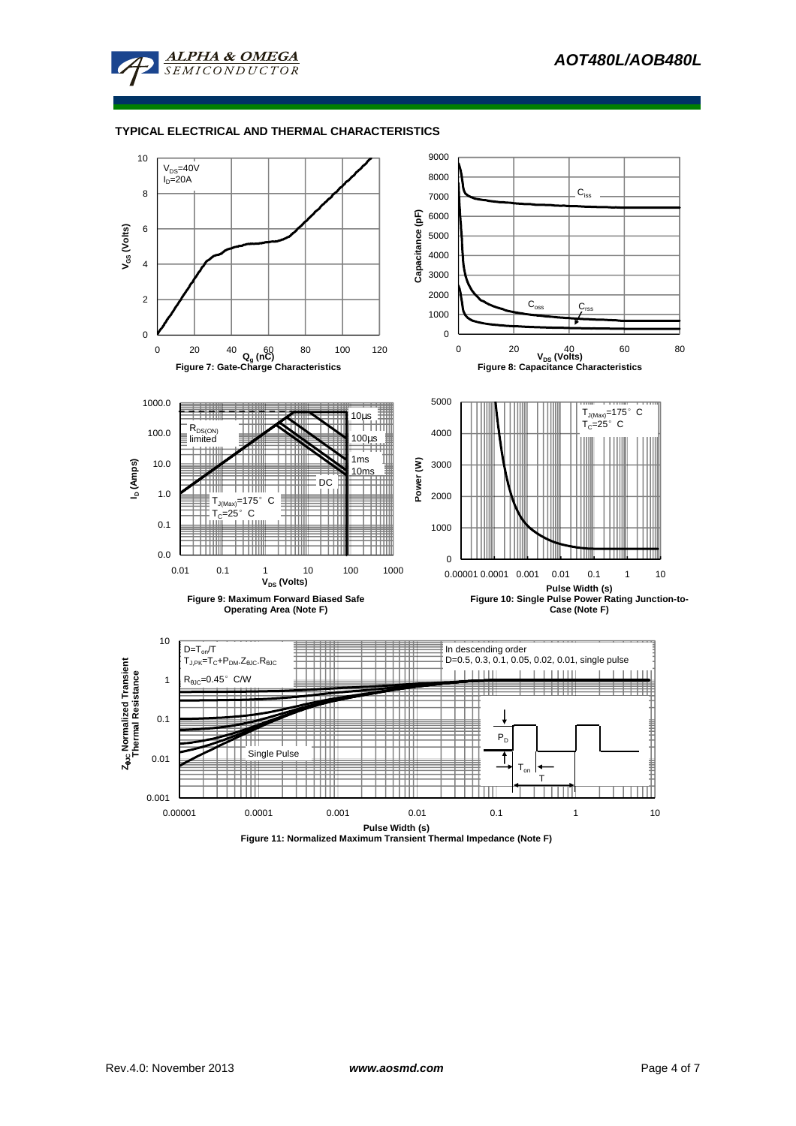



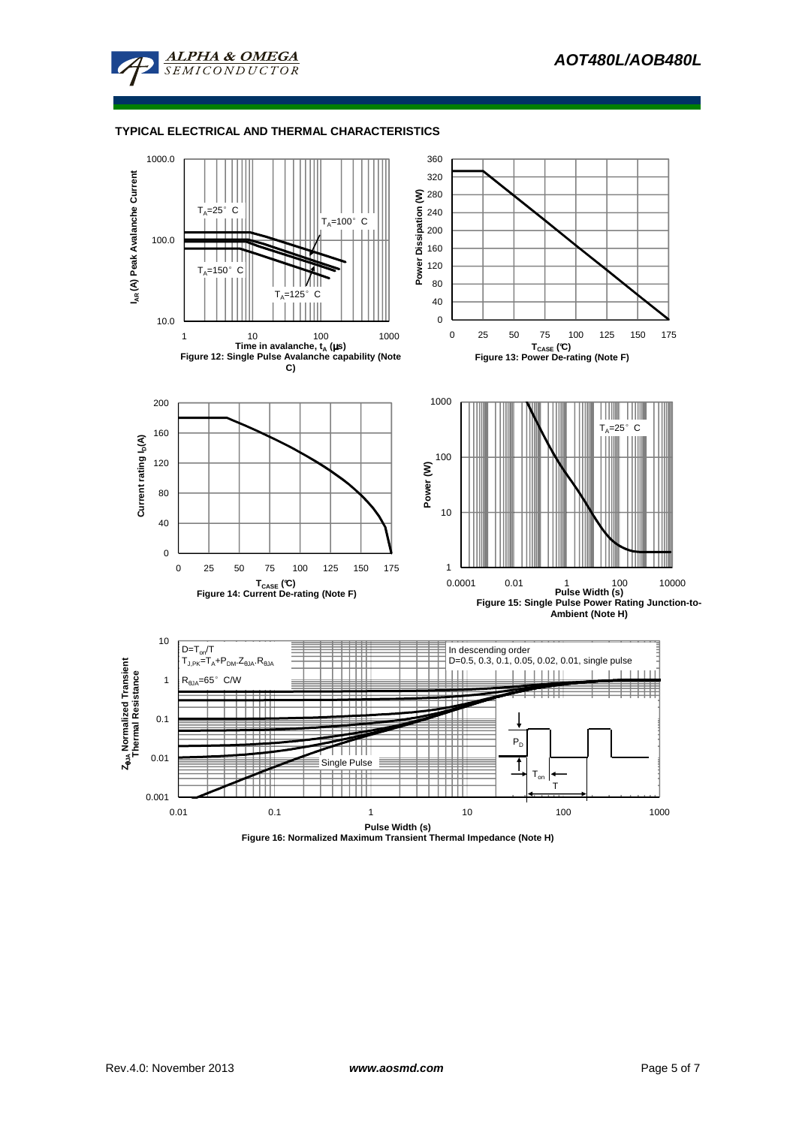



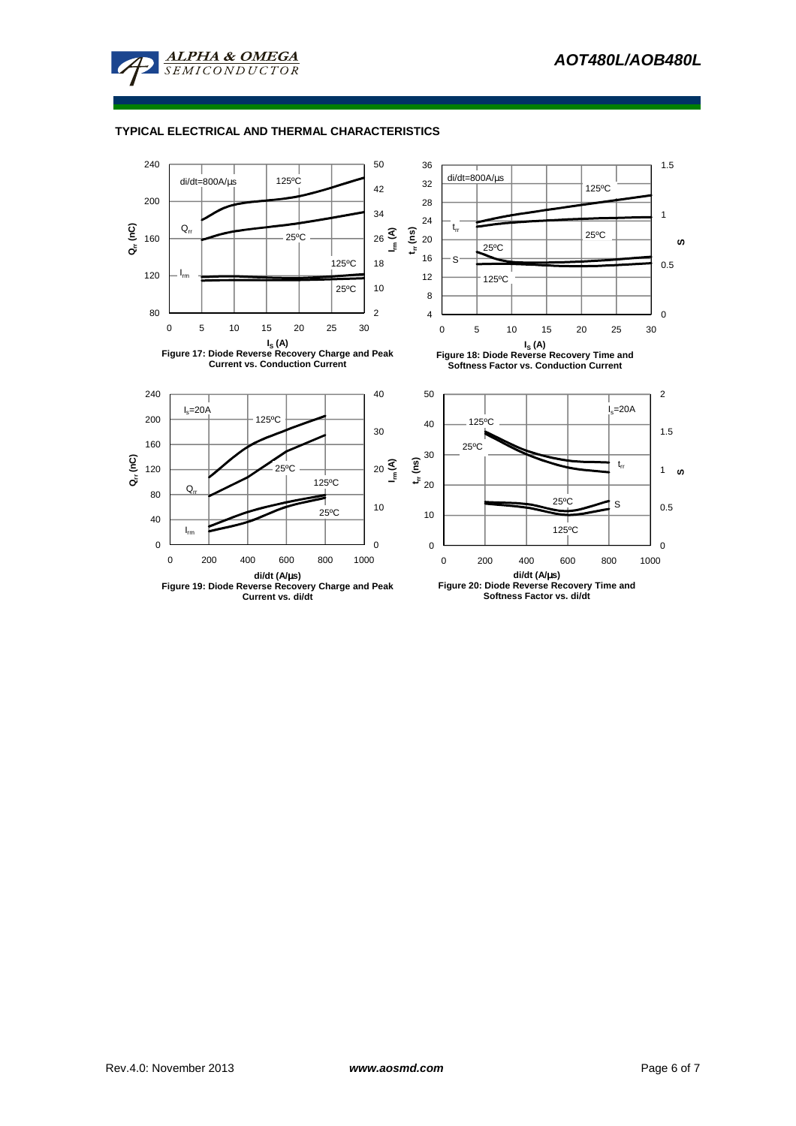